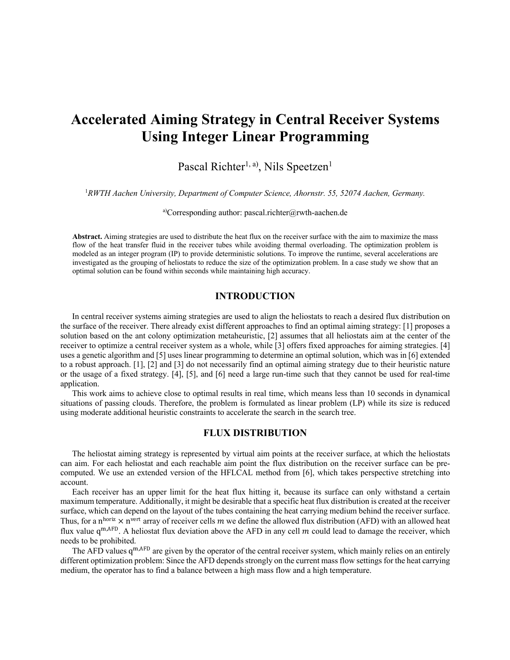# **Accelerated Aiming Strategy in Central Receiver Systems Using Integer Linear Programming**

Pascal Richter<sup>1, a)</sup>, Nils Speetzen<sup>1</sup>

1 *RWTH Aachen University, Department of Computer Science, Ahornstr. 55, 52074 Aachen, Germany.*

a)Corresponding author: pascal.richter@rwth-aachen.de

**Abstract.** Aiming strategies are used to distribute the heat flux on the receiver surface with the aim to maximize the mass flow of the heat transfer fluid in the receiver tubes while avoiding thermal overloading. The optimization problem is modeled as an integer program (IP) to provide deterministic solutions. To improve the runtime, several accelerations are investigated as the grouping of heliostats to reduce the size of the optimization problem. In a case study we show that an optimal solution can be found within seconds while maintaining high accuracy.

# **INTRODUCTION**

In central receiver systems aiming strategies are used to align the heliostats to reach a desired flux distribution on the surface of the receiver. There already exist different approaches to find an optimal aiming strategy: [1] proposes a solution based on the ant colony optimization metaheuristic, [2] assumes that all heliostats aim at the center of the receiver to optimize a central receiver system as a whole, while [3] offers fixed approaches for aiming strategies. [4] uses a genetic algorithm and [5] uses linear programming to determine an optimal solution, which was in [6] extended to a robust approach. [1], [2] and [3] do not necessarily find an optimal aiming strategy due to their heuristic nature or the usage of a fixed strategy. [4], [5], and [6] need a large run-time such that they cannot be used for real-time application.

This work aims to achieve close to optimal results in real time, which means less than 10 seconds in dynamical situations of passing clouds. Therefore, the problem is formulated as linear problem (LP) while its size is reduced using moderate additional heuristic constraints to accelerate the search in the search tree.

# **FLUX DISTRIBUTION**

The heliostat aiming strategy is represented by virtual aim points at the receiver surface, at which the heliostats can aim. For each heliostat and each reachable aim point the flux distribution on the receiver surface can be precomputed. We use an extended version of the HFLCAL method from [6], which takes perspective stretching into account.

Each receiver has an upper limit for the heat flux hitting it, because its surface can only withstand a certain maximum temperature. Additionally, it might be desirable that a specific heat flux distribution is created at the receiver surface, which can depend on the layout of the tubes containing the heat carrying medium behind the receiver surface. Thus, for a n<sup>horiz</sup>  $\times$  n<sup>vert</sup> array of receiver cells m we define the allowed flux distribution (AFD) with an allowed heat flux value  $q^{m,AFD}$ . A heliostat flux deviation above the AFD in any cell m could lead to damage the receiver, which needs to be prohibited.

The AFD values  $q^{m,AFD}$  are given by the operator of the central receiver system, which mainly relies on an entirely different optimization problem: Since the AFD depends strongly on the current mass flow settings for the heat carrying medium, the operator has to find a balance between a high mass flow and a high temperature.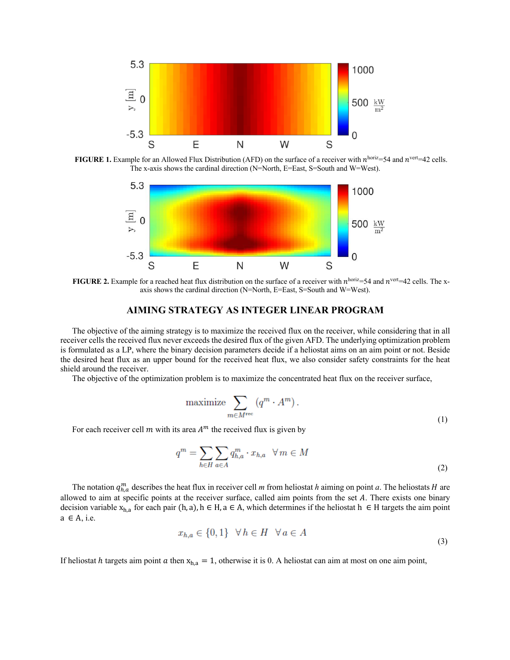

**FIGURE 1.** Example for an Allowed Flux Distribution (AFD) on the surface of a receiver with  $n^{\text{horiz}}=54$  and  $n^{\text{vert}}=42$  cells. The x-axis shows the cardinal direction (N=North, E=East, S=South and W=West).



**FIGURE 2.** Example for a reached heat flux distribution on the surface of a receiver with  $n^{\text{horiz}}=54$  and  $n^{\text{vert}}=42$  cells. The xaxis shows the cardinal direction (N=North, E=East, S=South and W=West).

#### **AIMING STRATEGY AS INTEGER LINEAR PROGRAM**

The objective of the aiming strategy is to maximize the received flux on the receiver, while considering that in all receiver cells the received flux never exceeds the desired flux of the given AFD. The underlying optimization problem is formulated as a LP, where the binary decision parameters decide if a heliostat aims on an aim point or not. Beside the desired heat flux as an upper bound for the received heat flux, we also consider safety constraints for the heat shield around the receiver.

The objective of the optimization problem is to maximize the concentrated heat flux on the receiver surface,

$$
\text{maximize} \sum_{m \in M^{\text{rec}}} \left( q^m \cdot A^m \right). \tag{1}
$$

For each receiver cell  $m$  with its area  $A<sup>m</sup>$  the received flux is given by

$$
q^m = \sum_{h \in H} \sum_{a \in A} q_{h,a}^m \cdot x_{h,a} \quad \forall \, m \in M
$$

The notation  $q_{h,a}^m$  describes the heat flux in receiver cell *m* from heliostat *h* aiming on point *a*. The heliostats *H* are allowed to aim at specific points at the receiver surface, called aim points from the set  $A$ . There exists one binary decision variable  $x_{h,a}$  for each pair (h, a), h  $\in$  H, a  $\in$  A, which determines if the heliostat h  $\in$  H targets the aim point  $a \in A$ , i.e.

$$
x_{h,a} \in \{0,1\} \quad \forall \, h \in H \quad \forall \, a \in A \tag{3}
$$

If heliostat *h* targets aim point *a* then  $x_{h,a} = 1$ , otherwise it is 0. A heliostat can aim at most on one aim point,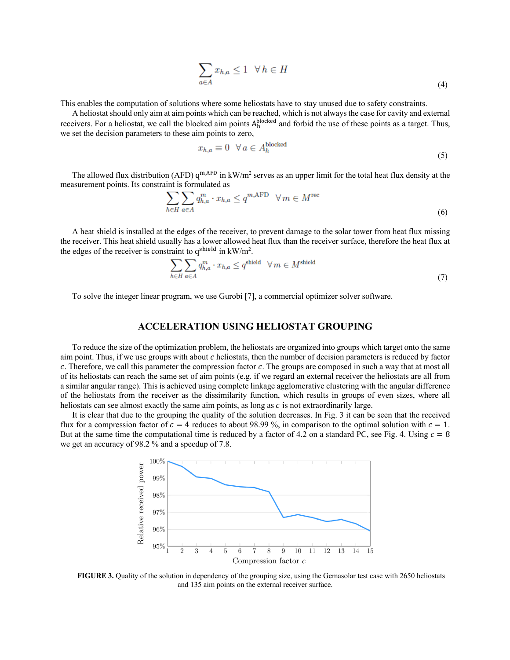$$
\sum_{a \in A} x_{h,a} \le 1 \quad \forall \, h \in H \tag{4}
$$

This enables the computation of solutions where some heliostats have to stay unused due to safety constraints.

A heliostat should only aim at aim points which can be reached, which is not always the case for cavity and external receivers. For a heliostat, we call the blocked aim points  $A_h^{blocked}$  and forbid the use of these points as a target. Thus, we set the decision parameters to these aim points to zero,

$$
x_{h,a} \equiv 0 \quad \forall \, a \in A_h^{\text{blocked}} \tag{5}
$$

The allowed flux distribution (AFD)  $q^{m,AFD}$  in kW/m<sup>2</sup> serves as an upper limit for the total heat flux density at the measurement points. Its constraint is formulated as

$$
\sum_{h \in H} \sum_{a \in A} q_{h,a}^m \cdot x_{h,a} \le q^{m,\text{AFD}} \quad \forall \, m \in M^{\text{rec}} \tag{6}
$$

A heat shield is installed at the edges of the receiver, to prevent damage to the solar tower from heat flux missing the receiver. This heat shield usually has a lower allowed heat flux than the receiver surface, therefore the heat flux at the edges of the receiver is constraint to  $q^{shifted}$  in  $kW/m^2$ .

$$
\sum_{h \in H} \sum_{a \in A} q_{h,a}^m \cdot x_{h,a} \le q^{\text{shield}} \quad \forall \, m \in M^{\text{shield}} \tag{7}
$$

To solve the integer linear program, we use Gurobi [7], a commercial optimizer solver software.

## **ACCELERATION USING HELIOSTAT GROUPING**

To reduce the size of the optimization problem, the heliostats are organized into groups which target onto the same aim point. Thus, if we use groups with about  $c$  heliostats, then the number of decision parameters is reduced by factor  $c$ . Therefore, we call this parameter the compression factor  $c$ . The groups are composed in such a way that at most all of its heliostats can reach the same set of aim points (e.g. if we regard an external receiver the heliostats are all from a similar angular range). This is achieved using complete linkage agglomerative clustering with the angular difference of the heliostats from the receiver as the dissimilarity function, which results in groups of even sizes, where all heliostats can see almost exactly the same aim points, as long as  $c$  is not extraordinarily large.

It is clear that due to the grouping the quality of the solution decreases. In Fig. 3 it can be seen that the received flux for a compression factor of  $c = 4$  reduces to about 98.99 %, in comparison to the optimal solution with  $c = 1$ . But at the same time the computational time is reduced by a factor of 4.2 on a standard PC, see Fig. 4. Using  $c = 8$ we get an accuracy of 98.2 % and a speedup of 7.8.



**FIGURE 3.** Quality of the solution in dependency of the grouping size, using the Gemasolar test case with 2650 heliostats and 135 aim points on the external receiver surface.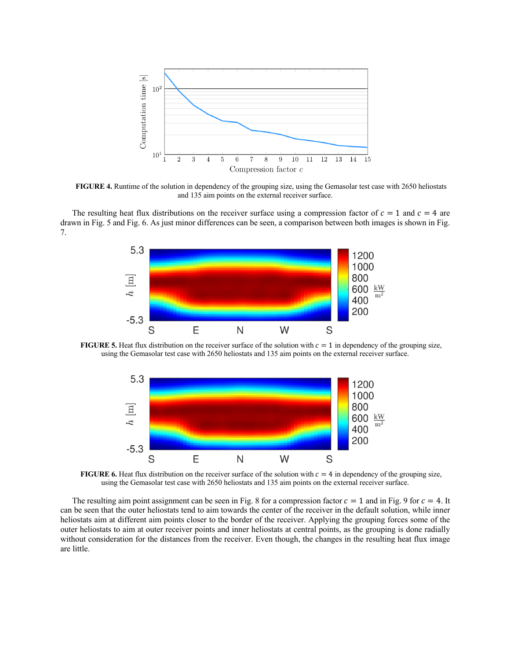

**FIGURE 4.** Runtime of the solution in dependency of the grouping size, using the Gemasolar test case with 2650 heliostats and 135 aim points on the external receiver surface.

The resulting heat flux distributions on the receiver surface using a compression factor of  $c = 1$  and  $c = 4$  are drawn in Fig. 5 and Fig. 6. As just minor differences can be seen, a comparison between both images is shown in Fig. 7.



**FIGURE 5.** Heat flux distribution on the receiver surface of the solution with  $c = 1$  in dependency of the grouping size, using the Gemasolar test case with 2650 heliostats and 135 aim points on the external receiver surface.



**FIGURE 6.** Heat flux distribution on the receiver surface of the solution with  $c = 4$  in dependency of the grouping size, using the Gemasolar test case with 2650 heliostats and 135 aim points on the external receiver surface.

The resulting aim point assignment can be seen in Fig. 8 for a compression factor  $c = 1$  and in Fig. 9 for  $c = 4$ . It can be seen that the outer heliostats tend to aim towards the center of the receiver in the default solution, while inner heliostats aim at different aim points closer to the border of the receiver. Applying the grouping forces some of the outer heliostats to aim at outer receiver points and inner heliostats at central points, as the grouping is done radially without consideration for the distances from the receiver. Even though, the changes in the resulting heat flux image are little.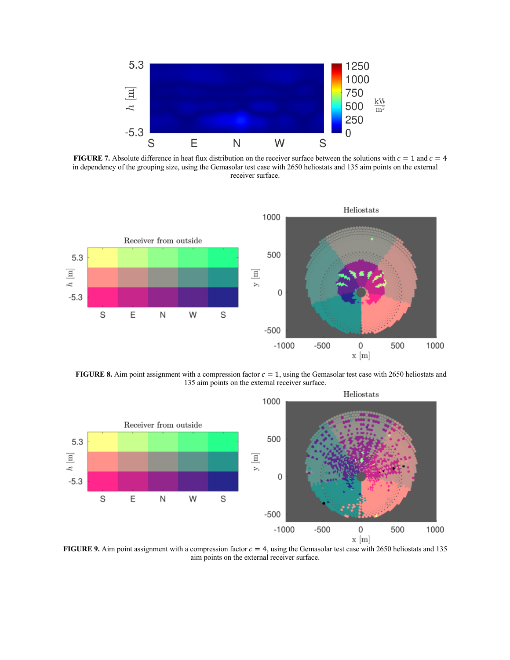

**FIGURE 7.** Absolute difference in heat flux distribution on the receiver surface between the solutions with  $c = 1$  and  $c = 4$ in dependency of the grouping size, using the Gemasolar test case with 2650 heliostats and 135 aim points on the external receiver surface.



**FIGURE 8.** Aim point assignment with a compression factor  $c = 1$ , using the Gemasolar test case with 2650 heliostats and 135 aim points on the external receiver surface.



**FIGURE 9.** Aim point assignment with a compression factor  $c = 4$ , using the Gemasolar test case with 2650 heliostats and 135 aim points on the external receiver surface.